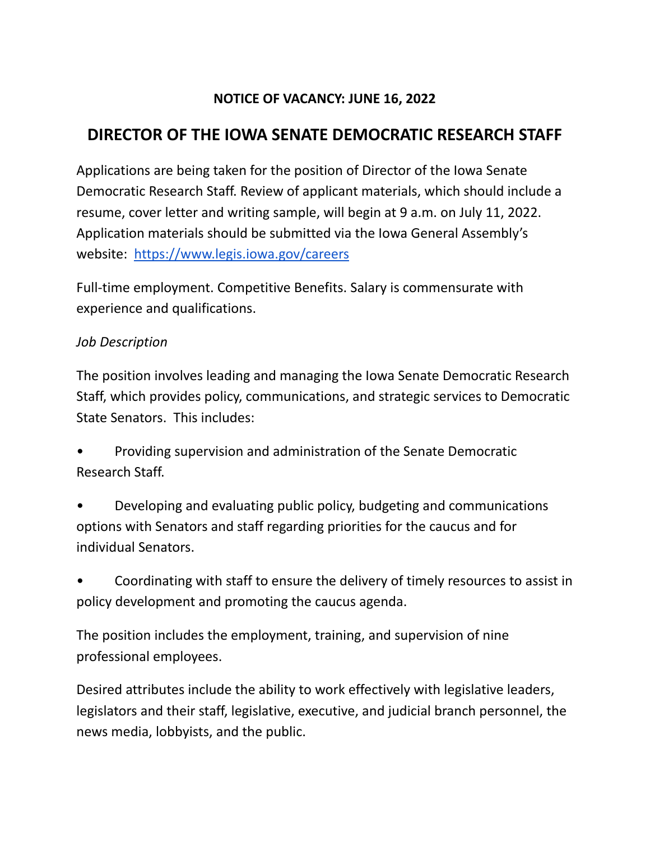## **NOTICE OF VACANCY: JUNE 16, 2022**

## **DIRECTOR OF THE IOWA SENATE DEMOCRATIC RESEARCH STAFF**

Applications are being taken for the position of Director of the Iowa Senate Democratic Research Staff. Review of applicant materials, which should include a resume, cover letter and writing sample, will begin at 9 a.m. on July 11, 2022. Application materials should be submitted via the Iowa General Assembly's website: [https://www.legis.iowa.gov/careers](https://www.legis.iowa.gov/careers.)

Full-time employment. Competitive Benefits. Salary is commensurate with experience and qualifications.

## *Job Description*

The position involves leading and managing the Iowa Senate Democratic Research Staff, which provides policy, communications, and strategic services to Democratic State Senators. This includes:

• Providing supervision and administration of the Senate Democratic Research Staff.

- Developing and evaluating public policy, budgeting and communications options with Senators and staff regarding priorities for the caucus and for individual Senators.
- Coordinating with staff to ensure the delivery of timely resources to assist in policy development and promoting the caucus agenda.

The position includes the employment, training, and supervision of nine professional employees.

Desired attributes include the ability to work effectively with legislative leaders, legislators and their staff, legislative, executive, and judicial branch personnel, the news media, lobbyists, and the public.